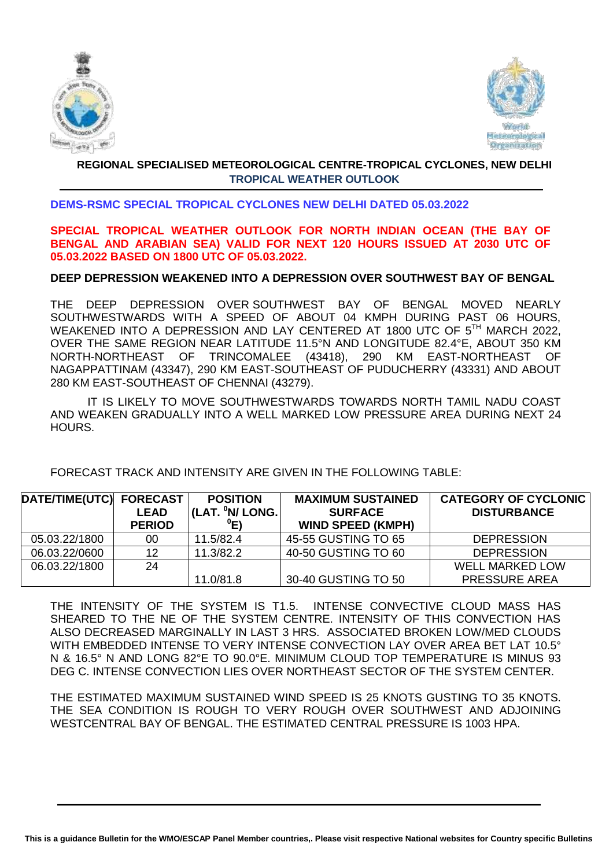



# **REGIONAL SPECIALISED METEOROLOGICAL CENTRE-TROPICAL CYCLONES, NEW DELHI TROPICAL WEATHER OUTLOOK**

## **DEMS-RSMC SPECIAL TROPICAL CYCLONES NEW DELHI DATED 05.03.2022**

## **SPECIAL TROPICAL WEATHER OUTLOOK FOR NORTH INDIAN OCEAN (THE BAY OF BENGAL AND ARABIAN SEA) VALID FOR NEXT 120 HOURS ISSUED AT 2030 UTC OF 05.03.2022 BASED ON 1800 UTC OF 05.03.2022.**

### **DEEP DEPRESSION WEAKENED INTO A DEPRESSION OVER SOUTHWEST BAY OF BENGAL**

THE DEEP DEPRESSION OVER SOUTHWEST BAY OF BENGAL MOVED NEARLY SOUTHWESTWARDS WITH A SPEED OF ABOUT 04 KMPH DURING PAST 06 HOURS, WEAKENED INTO A DEPRESSION AND LAY CENTERED AT 1800 UTC OF 5<sup>TH</sup> MARCH 2022, OVER THE SAME REGION NEAR LATITUDE 11.5°N AND LONGITUDE 82.4°E, ABOUT 350 KM NORTH-NORTHEAST OF TRINCOMALEE (43418), 290 KM EAST-NORTHEAST OF NAGAPPATTINAM (43347), 290 KM EAST-SOUTHEAST OF PUDUCHERRY (43331) AND ABOUT 280 KM EAST-SOUTHEAST OF CHENNAI (43279).

IT IS LIKELY TO MOVE SOUTHWESTWARDS TOWARDS NORTH TAMIL NADU COAST AND WEAKEN GRADUALLY INTO A WELL MARKED LOW PRESSURE AREA DURING NEXT 24 HOURS.

FORECAST TRACK AND INTENSITY ARE GIVEN IN THE FOLLOWING TABLE:

| DATE/TIME(UTC) FORECAST |               | <b>POSITION</b>            | <b>MAXIMUM SUSTAINED</b> | <b>CATEGORY OF CYCLONIC</b> |
|-------------------------|---------------|----------------------------|--------------------------|-----------------------------|
|                         | <b>LEAD</b>   | (LAT. <sup>0</sup> N/LONG. | <b>SURFACE</b>           | <b>DISTURBANCE</b>          |
|                         | <b>PERIOD</b> | $^0$ E)                    | <b>WIND SPEED (KMPH)</b> |                             |
| 05.03.22/1800           | 00            | 11.5/82.4                  | 45-55 GUSTING TO 65      | <b>DEPRESSION</b>           |
| 06.03.22/0600           | 12            | 11.3/82.2                  | 40-50 GUSTING TO 60      | <b>DEPRESSION</b>           |
| 06.03.22/1800           | 24            |                            |                          | <b>WELL MARKED LOW</b>      |
|                         |               | 11.0/81.8                  | 30-40 GUSTING TO 50      | <b>PRESSURE AREA</b>        |

THE INTENSITY OF THE SYSTEM IS T1.5. INTENSE CONVECTIVE CLOUD MASS HAS SHEARED TO THE NE OF THE SYSTEM CENTRE. INTENSITY OF THIS CONVECTION HAS ALSO DECREASED MARGINALLY IN LAST 3 HRS. ASSOCIATED BROKEN LOW/MED CLOUDS WITH EMBEDDED INTENSE TO VERY INTENSE CONVECTION LAY OVER AREA BET LAT 10.5° N & 16.5° N AND LONG 82°E TO 90.0°E. MINIMUM CLOUD TOP TEMPERATURE IS MINUS 93 DEG C. INTENSE CONVECTION LIES OVER NORTHEAST SECTOR OF THE SYSTEM CENTER.

THE ESTIMATED MAXIMUM SUSTAINED WIND SPEED IS 25 KNOTS GUSTING TO 35 KNOTS. THE SEA CONDITION IS ROUGH TO VERY ROUGH OVER SOUTHWEST AND ADJOINING WESTCENTRAL BAY OF BENGAL. THE ESTIMATED CENTRAL PRESSURE IS 1003 HPA.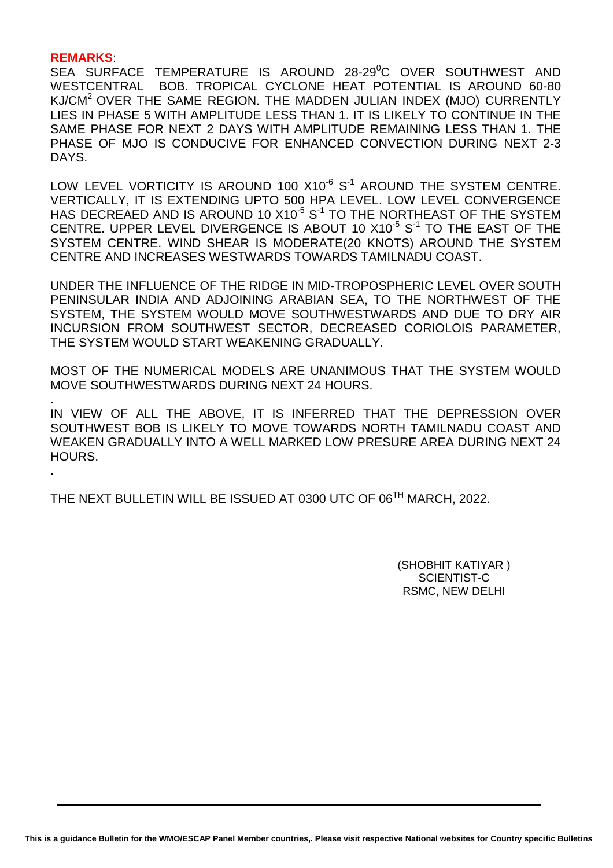#### **REMARKS**:

.

SEA SURFACE TEMPERATURE IS AROUND 28-29<sup>0</sup>C OVER SOUTHWEST AND WESTCENTRAL BOB. TROPICAL CYCLONE HEAT POTENTIAL IS AROUND 60-80 KJ/CM<sup>2</sup> OVER THE SAME REGION. THE MADDEN JULIAN INDEX (MJO) CURRENTLY LIES IN PHASE 5 WITH AMPLITUDE LESS THAN 1. IT IS LIKELY TO CONTINUE IN THE SAME PHASE FOR NEXT 2 DAYS WITH AMPLITUDE REMAINING LESS THAN 1. THE PHASE OF MJO IS CONDUCIVE FOR ENHANCED CONVECTION DURING NEXT 2-3 DAYS.

LOW LEVEL VORTICITY IS AROUND 100  $X10^{-6}$  S $^{-1}$  AROUND THE SYSTEM CENTRE. VERTICALLY, IT IS EXTENDING UPTO 500 HPA LEVEL. LOW LEVEL CONVERGENCE HAS DECREAED AND IS AROUND 10  $X10^{-5}$  S $^{-1}$  TO THE NORTHEAST OF THE SYSTEM CENTRE. UPPER LEVEL DIVERGENCE IS ABOUT 10  $X10^{-5}$  S $^{-1}$  TO THE EAST OF THE SYSTEM CENTRE. WIND SHEAR IS MODERATE(20 KNOTS) AROUND THE SYSTEM CENTRE AND INCREASES WESTWARDS TOWARDS TAMILNADU COAST.

UNDER THE INFLUENCE OF THE RIDGE IN MID-TROPOSPHERIC LEVEL OVER SOUTH PENINSULAR INDIA AND ADJOINING ARABIAN SEA, TO THE NORTHWEST OF THE SYSTEM, THE SYSTEM WOULD MOVE SOUTHWESTWARDS AND DUE TO DRY AIR INCURSION FROM SOUTHWEST SECTOR, DECREASED CORIOLOIS PARAMETER, THE SYSTEM WOULD START WEAKENING GRADUALLY.

MOST OF THE NUMERICAL MODELS ARE UNANIMOUS THAT THE SYSTEM WOULD MOVE SOUTHWESTWARDS DURING NEXT 24 HOURS.

. IN VIEW OF ALL THE ABOVE, IT IS INFERRED THAT THE DEPRESSION OVER SOUTHWEST BOB IS LIKELY TO MOVE TOWARDS NORTH TAMILNADU COAST AND WEAKEN GRADUALLY INTO A WELL MARKED LOW PRESURE AREA DURING NEXT 24 HOURS.

THE NEXT BULLETIN WILL BE ISSUED AT 0300 UTC OF 06<sup>TH</sup> MARCH, 2022.

(SHOBHIT KATIYAR ) SCIENTIST-C RSMC, NEW DELHI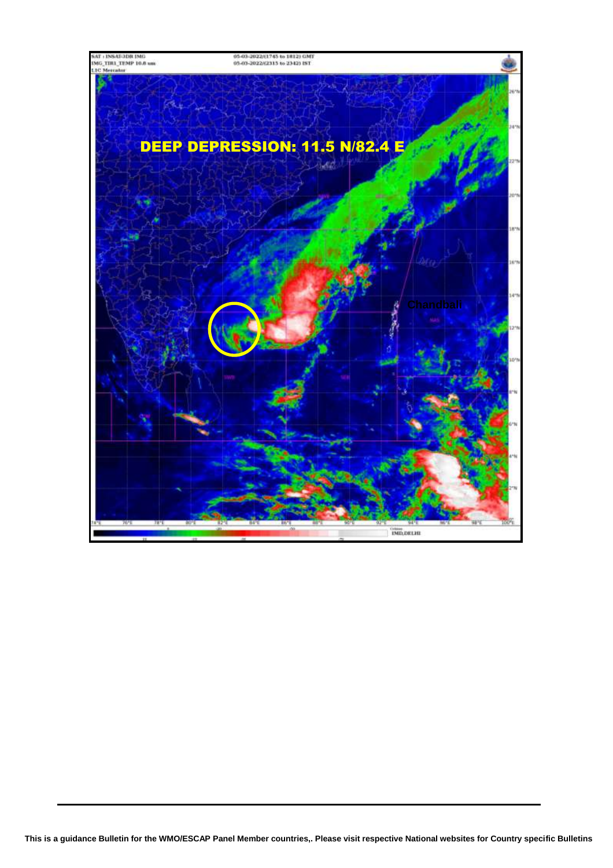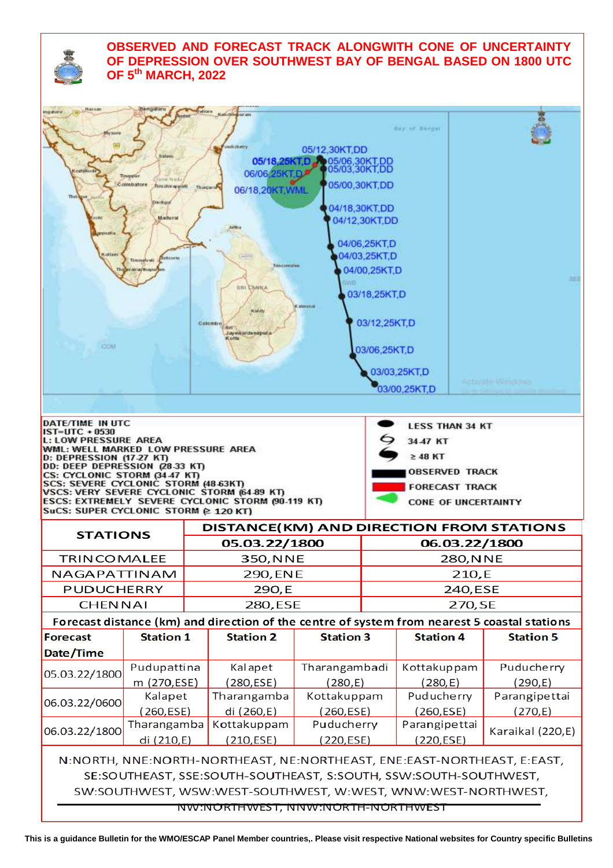# **OBSERVED AND FORECAST TRACK ALONGWITH CONE OF UNCERTAINTY OF DEPRESSION OVER SOUTHWEST BAY OF BENGAL BASED ON 1800 UTC OF 5 th MARCH, 2022**

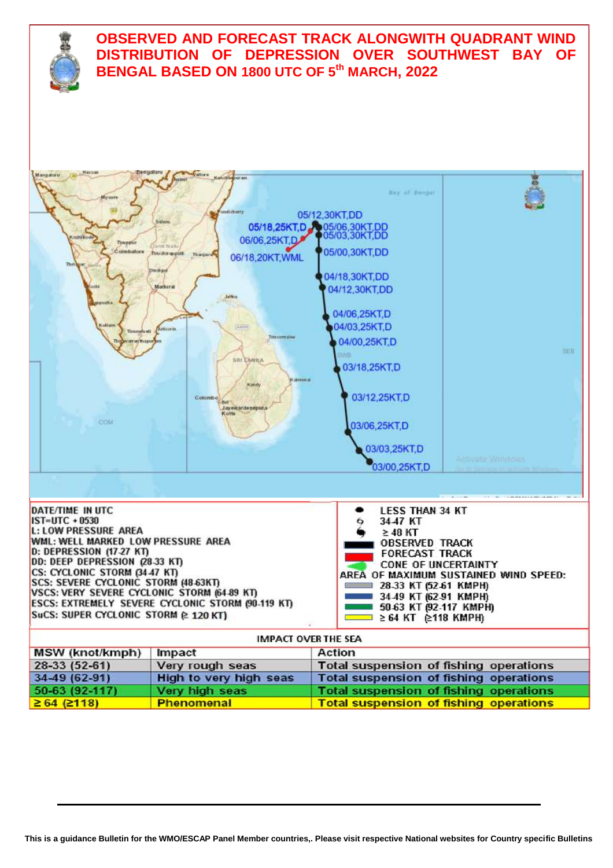

| <b>MSW (knot/kmph)</b>   | Impact                 | Action                                        |
|--------------------------|------------------------|-----------------------------------------------|
| $28-33(52-61)$           | Very rough seas        | Total suspension of fishing operations        |
| 34-49 (62-91)            | High to very high seas | Total suspension of fishing operations        |
| $50-63(92-117)$          | Very high seas         | Total suspension of fishing operations        |
| $\geq 64$ ( $\geq 118$ ) | <b>Phenomenal</b>      | <b>Total suspension of fishing operations</b> |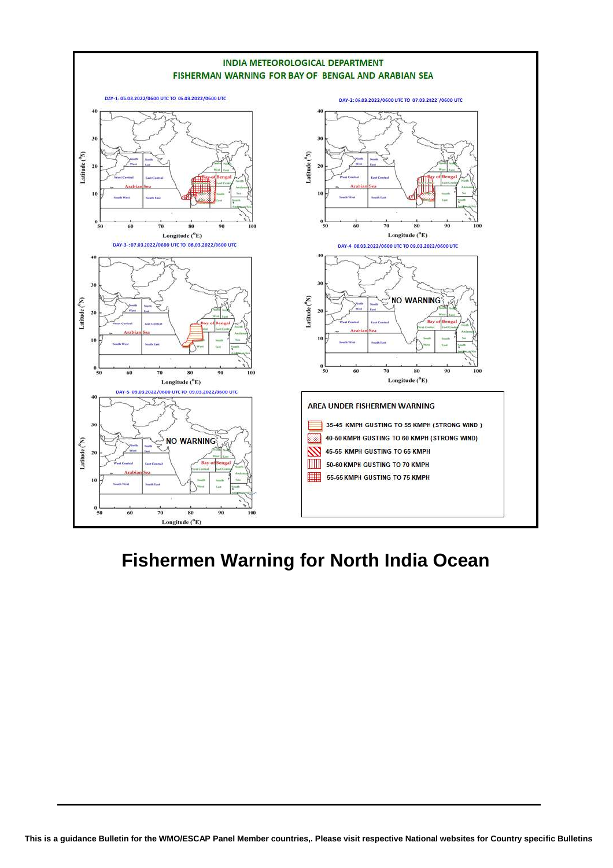

# **Fishermen Warning for North India Ocean**